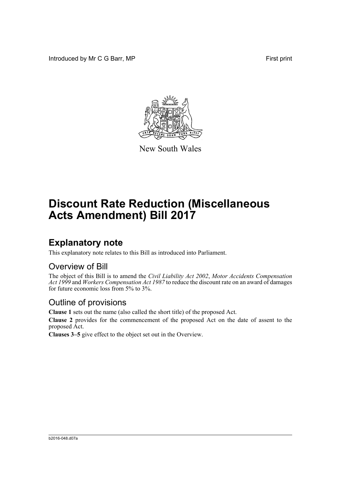Introduced by Mr C G Barr, MP First print



New South Wales

# **Discount Rate Reduction (Miscellaneous Acts Amendment) Bill 2017**

### **Explanatory note**

This explanatory note relates to this Bill as introduced into Parliament.

#### Overview of Bill

The object of this Bill is to amend the *Civil Liability Act 2002*, *Motor Accidents Compensation Act 1999* and *Workers Compensation Act 1987* to reduce the discount rate on an award of damages for future economic loss from 5% to 3%.

#### Outline of provisions

**Clause 1** sets out the name (also called the short title) of the proposed Act.

**Clause 2** provides for the commencement of the proposed Act on the date of assent to the proposed Act.

**Clauses 3–5** give effect to the object set out in the Overview.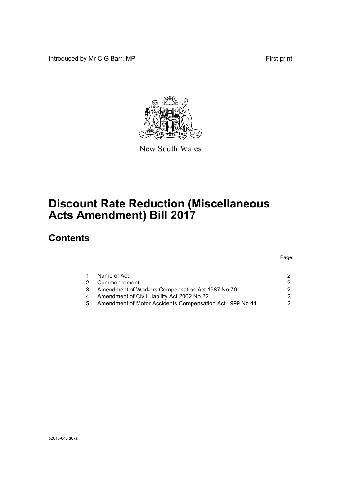Introduced by Mr C G Barr, MP First print



New South Wales

# **Discount Rate Reduction (Miscellaneous Acts Amendment) Bill 2017**

## **Contents**

|   |                                                          | Page          |
|---|----------------------------------------------------------|---------------|
|   | Name of Act                                              | 2             |
|   | Commencement                                             | 2             |
| 3 | Amendment of Workers Compensation Act 1987 No 70         | 2             |
| 4 | Amendment of Civil Liability Act 2002 No 22              | $\mathcal{P}$ |
| 5 | Amendment of Motor Accidents Compensation Act 1999 No 41 | 2             |
|   |                                                          |               |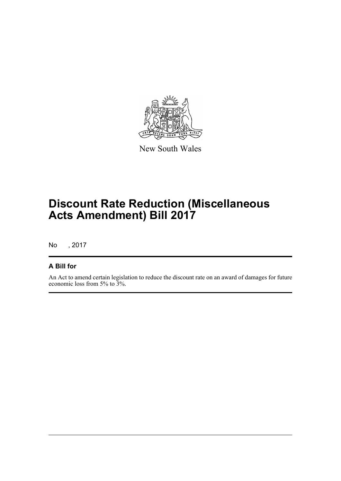

New South Wales

# **Discount Rate Reduction (Miscellaneous Acts Amendment) Bill 2017**

No , 2017

#### **A Bill for**

An Act to amend certain legislation to reduce the discount rate on an award of damages for future economic loss from 5% to 3%.